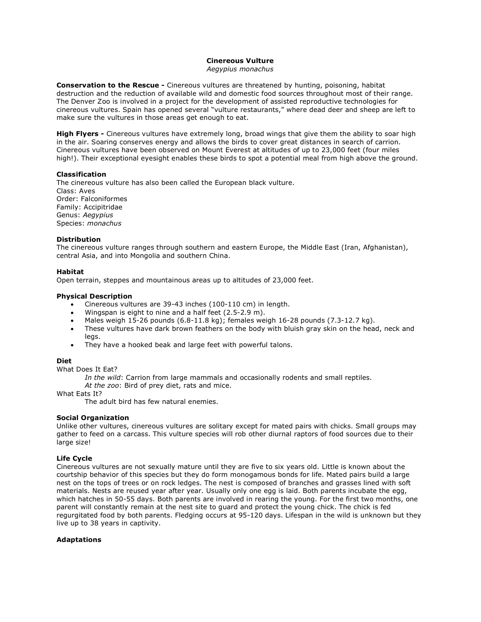# **Cinereous Vulture**

*Aegypius monachus*

**Conservation to the Rescue -** Cinereous vultures are threatened by hunting, poisoning, habitat destruction and the reduction of available wild and domestic food sources throughout most of their range. The Denver Zoo is involved in a project for the development of assisted reproductive technologies for cinereous vultures. Spain has opened several "vulture restaurants," where dead deer and sheep are left to make sure the vultures in those areas get enough to eat.

**High Flyers -** Cinereous vultures have extremely long, broad wings that give them the ability to soar high in the air. Soaring conserves energy and allows the birds to cover great distances in search of carrion. Cinereous vultures have been observed on Mount Everest at altitudes of up to 23,000 feet (four miles high!). Their exceptional eyesight enables these birds to spot a potential meal from high above the ground.

# **Classification**

The cinereous vulture has also been called the European black vulture. Class: Aves Order: Falconiformes Family: Accipitridae Genus: *Aegypius* Species: *monachus*

### **Distribution**

The cinereous vulture ranges through southern and eastern Europe, the Middle East (Iran, Afghanistan), central Asia, and into Mongolia and southern China.

### **Habitat**

Open terrain, steppes and mountainous areas up to altitudes of 23,000 feet.

### **Physical Description**

- Cinereous vultures are 39-43 inches (100-110 cm) in length.
- Wingspan is eight to nine and a half feet (2.5-2.9 m).
- Males weigh 15-26 pounds  $(6.8-11.8 \text{ kg})$ ; females weigh 16-28 pounds  $(7.3-12.7 \text{ kg})$ .
- These vultures have dark brown feathers on the body with bluish gray skin on the head, neck and legs.
- They have a hooked beak and large feet with powerful talons.

#### **Diet**

What Does It Eat?

*In the wild*: Carrion from large mammals and occasionally rodents and small reptiles.

*At the zoo*: Bird of prey diet, rats and mice.

What Eats It?

The adult bird has few natural enemies.

#### **Social Organization**

Unlike other vultures, cinereous vultures are solitary except for mated pairs with chicks. Small groups may gather to feed on a carcass. This vulture species will rob other diurnal raptors of food sources due to their large size!

# **Life Cycle**

Cinereous vultures are not sexually mature until they are five to six years old. Little is known about the courtship behavior of this species but they do form monogamous bonds for life. Mated pairs build a large nest on the tops of trees or on rock ledges. The nest is composed of branches and grasses lined with soft materials. Nests are reused year after year. Usually only one egg is laid. Both parents incubate the egg, which hatches in 50-55 days. Both parents are involved in rearing the young. For the first two months, one parent will constantly remain at the nest site to guard and protect the young chick. The chick is fed regurgitated food by both parents. Fledging occurs at 95-120 days. Lifespan in the wild is unknown but they live up to 38 years in captivity.

#### **Adaptations**